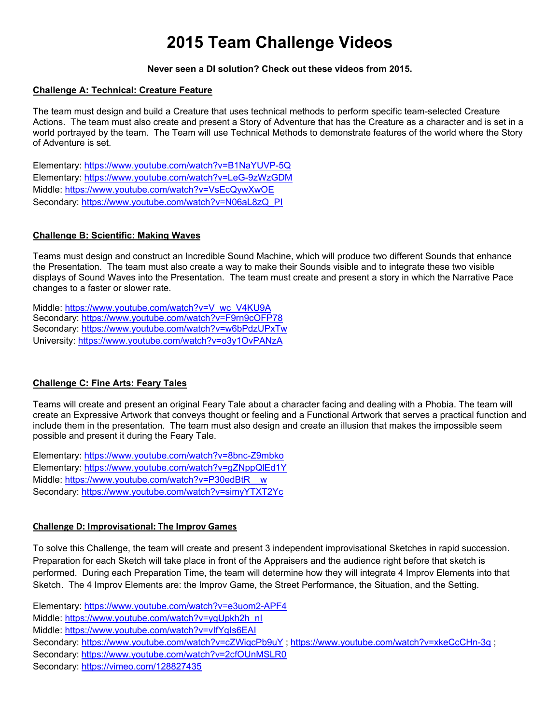# **2015 Team Challenge Videos**

## **Never seen a DI solution? Check out these videos from 2015.**

## **Challenge A: Technical: Creature Feature**

The team must design and build a Creature that uses technical methods to perform specific team-selected Creature Actions. The team must also create and present a Story of Adventure that has the Creature as a character and is set in a world portrayed by the team. The Team will use Technical Methods to demonstrate features of the world where the Story of Adventure is set.

Elementary: https://www.youtube.com/watch?v=B1NaYUVP-5Q Elementary: https://www.youtube.com/watch?v=LeG-9zWzGDM Middle: https://www.youtube.com/watch?v=VsEcQywXwOE Secondary: https://www.youtube.com/watch?v=N06aL8zQ\_PI

## **Challenge B: Scientific: Making Waves**

Teams must design and construct an Incredible Sound Machine, which will produce two different Sounds that enhance the Presentation. The team must also create a way to make their Sounds visible and to integrate these two visible displays of Sound Waves into the Presentation. The team must create and present a story in which the Narrative Pace changes to a faster or slower rate.

Middle: https://www.youtube.com/watch?v=V\_wc\_V4KU9A Secondary: https://www.youtube.com/watch?v=F9rn9cOFP78 Secondary: https://www.youtube.com/watch?v=w6bPdzUPxTw University: https://www.youtube.com/watch?v=o3y1OvPANzA

## **Challenge C: Fine Arts: Feary Tales**

Teams will create and present an original Feary Tale about a character facing and dealing with a Phobia. The team will create an Expressive Artwork that conveys thought or feeling and a Functional Artwork that serves a practical function and include them in the presentation. The team must also design and create an illusion that makes the impossible seem possible and present it during the Feary Tale.

Elementary: https://www.youtube.com/watch?v=8bnc-Z9mbko Elementary: https://www.youtube.com/watch?v=gZNppQlEd1Y Middle: https://www.youtube.com/watch?v=P30edBtR\_\_w Secondary: https://www.youtube.com/watch?v=simyYTXT2Yc

## **Challenge D: Improvisational: The Improv Games**

To solve this Challenge, the team will create and present 3 independent improvisational Sketches in rapid succession. Preparation for each Sketch will take place in front of the Appraisers and the audience right before that sketch is performed. During each Preparation Time, the team will determine how they will integrate 4 Improv Elements into that Sketch. The 4 Improv Elements are: the Improv Game, the Street Performance, the Situation, and the Setting.

Elementary: https://www.youtube.com/watch?v=e3uom2-APF4 Middle: https://www.youtube.com/watch?v=ygUpkh2h\_nI Middle: https://www.youtube.com/watch?v=vIfYgIs6EAI Secondary: https://www.youtube.com/watch?v=cZWiqcPb9uY ; https://www.youtube.com/watch?v=xkeCcCHn-3g ; Secondary: https://www.youtube.com/watch?v=2cfOUnMSLR0 Secondary: https://vimeo.com/128827435